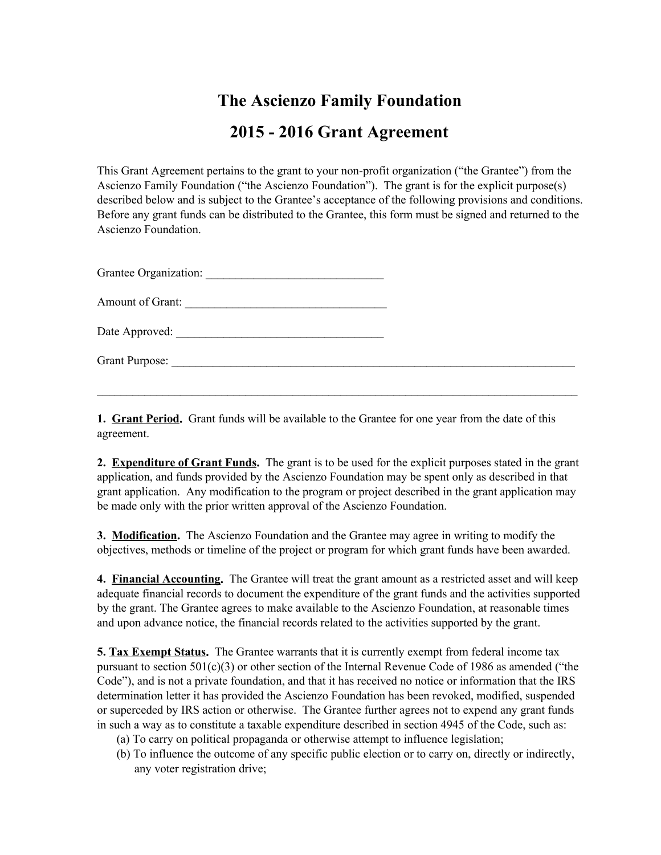## **The Ascienzo Family Foundation 2015 2016 Grant Agreement**

This Grant Agreement pertains to the grant to your non-profit organization ("the Grantee") from the Ascienzo Family Foundation ("the Ascienzo Foundation"). The grant is for the explicit purpose(s) described below and is subject to the Grantee's acceptance of the following provisions and conditions. Before any grant funds can be distributed to the Grantee, this form must be signed and returned to the Ascienzo Foundation.

Grantee Organization: \_\_\_\_\_\_\_\_\_\_\_\_\_\_\_\_\_\_\_\_\_\_\_\_\_\_\_\_\_\_

Amount of Grant:

Date Approved:

Grant Purpose:

**1. Grant Period.**Grant funds will be available to the Grantee for one year from the date of this agreement.

 $\mathcal{L}_\mathcal{L} = \{ \mathcal{L}_\mathcal{L} = \{ \mathcal{L}_\mathcal{L} = \{ \mathcal{L}_\mathcal{L} = \{ \mathcal{L}_\mathcal{L} = \{ \mathcal{L}_\mathcal{L} = \{ \mathcal{L}_\mathcal{L} = \{ \mathcal{L}_\mathcal{L} = \{ \mathcal{L}_\mathcal{L} = \{ \mathcal{L}_\mathcal{L} = \{ \mathcal{L}_\mathcal{L} = \{ \mathcal{L}_\mathcal{L} = \{ \mathcal{L}_\mathcal{L} = \{ \mathcal{L}_\mathcal{L} = \{ \mathcal{L}_\mathcal{$ 

**2. Expenditure of Grant Funds.**The grant is to be used for the explicit purposes stated in the grant application, and funds provided by the Ascienzo Foundation may be spent only as described in that grant application. Any modification to the program or project described in the grant application may be made only with the prior written approval of the Ascienzo Foundation.

**3. Modification.**The Ascienzo Foundation and the Grantee may agree in writing to modify the objectives, methods or timeline of the project or program for which grant funds have been awarded.

**4. Financial Accounting.**The Grantee will treat the grant amount as a restricted asset and will keep adequate financial records to document the expenditure of the grant funds and the activities supported by the grant. The Grantee agrees to make available to the Ascienzo Foundation, at reasonable times and upon advance notice, the financial records related to the activities supported by the grant.

**5. Tax Exempt Status.**The Grantee warrants that it is currently exempt from federal income tax pursuant to section  $501(c)(3)$  or other section of the Internal Revenue Code of 1986 as amended ("the Code"), and is not a private foundation, and that it has received no notice or information that the IRS determination letter it has provided the Ascienzo Foundation has been revoked, modified, suspended or superceded by IRS action or otherwise. The Grantee further agrees not to expend any grant funds in such a way as to constitute a taxable expenditure described in section 4945 of the Code, such as:

- (a) To carry on political propaganda or otherwise attempt to influence legislation;
- (b) To influence the outcome of any specific public election or to carry on, directly or indirectly, any voter registration drive;